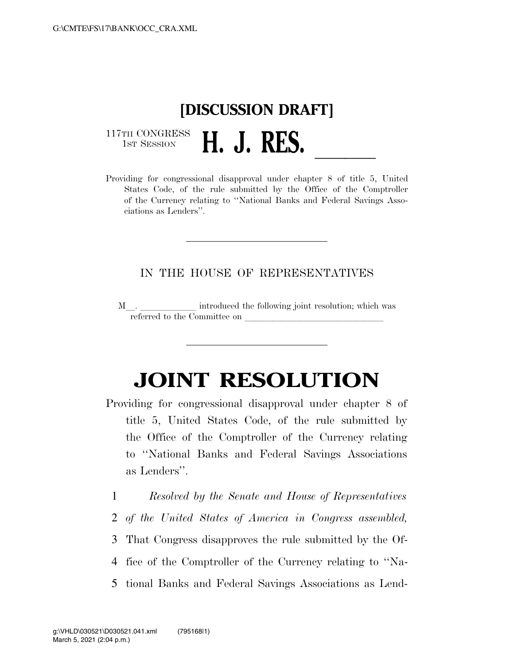## **[DISCUSSION DRAFT]**  117TH CONGRESS<br>1st Session 1ST SESSION **H. J. RES.**<br>Providing for congressional disapproval under chapter 8 of title 5, United

States Code, of the rule submitted by the Office of the Comptroller of the Currency relating to ''National Banks and Federal Savings Associations as Lenders''.

## IN THE HOUSE OF REPRESENTATIVES

M. H. llet introduced the following joint resolution; which was referred to the Committee on

## **JOINT RESOLUTION**

- Providing for congressional disapproval under chapter 8 of title 5, United States Code, of the rule submitted by the Office of the Comptroller of the Currency relating to ''National Banks and Federal Savings Associations as Lenders''.
	- 1 *Resolved by the Senate and House of Representatives* 2 *of the United States of America in Congress assembled,*  3 That Congress disapproves the rule submitted by the Of-4 fice of the Comptroller of the Currency relating to ''Na-5 tional Banks and Federal Savings Associations as Lend-